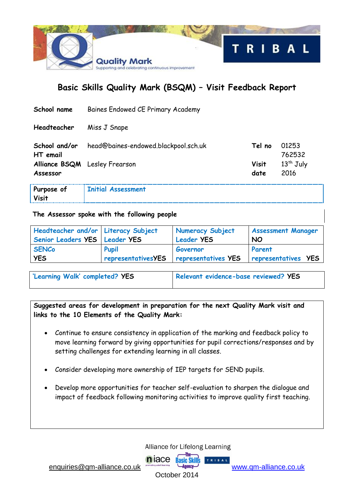

# **Basic Skills Quality Mark (BSQM) – Visit Feedback Report**

| School name                               | Baines Endowed CE Primary Academy    |                      |                     |
|-------------------------------------------|--------------------------------------|----------------------|---------------------|
| Headteacher                               | Miss J Snape                         |                      |                     |
| School and/or<br>HT email                 | head@baines-endowed.blackpool.sch.uk | Tel no               | 01253<br>762532     |
| Alliance BSQM Lesley Frearson<br>Assessor |                                      | <b>Visit</b><br>date | $13th$ July<br>2016 |

| Purpose of | <b>Initial Assessment</b> |
|------------|---------------------------|
| Visit      |                           |

#### **The Assessor spoke with the following people**

| Headteacher and/or   Literacy Subject<br>Senior Leaders YES   Leader YES |                           | Numeracy Subject<br><b>Leader YES</b> | <b>Assessment Manager</b><br><b>NO</b> |
|--------------------------------------------------------------------------|---------------------------|---------------------------------------|----------------------------------------|
| <b>SENCo</b>                                                             | <b>Pupil</b>              | Governor                              | Parent                                 |
| <b>YES</b>                                                               | <b>representativesYES</b> | <b>representatives YES</b>            | representatives YES                    |

| 'Learning Walk' completed? YES | Relevant evidence-base reviewed? YES |
|--------------------------------|--------------------------------------|
|                                |                                      |

**Suggested areas for development in preparation for the next Quality Mark visit and links to the 10 Elements of the Quality Mark:**

- Continue to ensure consistency in application of the marking and feedback policy to move learning forward by giving opportunities for pupil corrections/responses and by setting challenges for extending learning in all classes.
- Consider developing more ownership of IEP targets for SEND pupils.
- Develop more opportunities for teacher self-evaluation to sharpen the dialogue and impact of feedback following monitoring activities to improve quality first teaching.

Alliance for Lifelong Learning

**Rasic Skill's** 

TRIBAL

[enquiries@qm-alliance.co.uk](mailto:enquiries@qm-alliance.co.uk) www.qm-alliance.co.uk

October 2014

**n** jace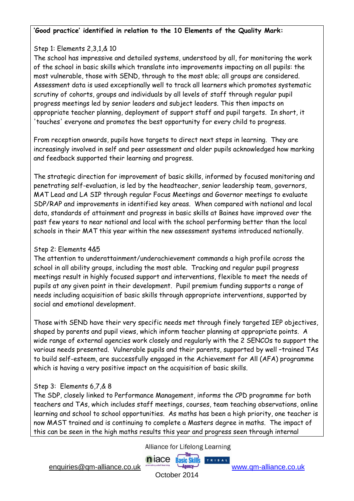## Step 1: Elements 2,3,1,& 10

The school has impressive and detailed systems, understood by all, for monitoring the work of the school in basic skills which translate into improvements impacting on all pupils: the most vulnerable, those with SEND, through to the most able; all groups are considered. Assessment data is used exceptionally well to track all learners which promotes systematic scrutiny of cohorts, groups and individuals by all levels of staff through regular pupil progress meetings led by senior leaders and subject leaders. This then impacts on appropriate teacher planning, deployment of support staff and pupil targets. In short, it 'touches' everyone and promotes the best opportunity for every child to progress.

From reception onwards, pupils have targets to direct next steps in learning. They are increasingly involved in self and peer assessment and older pupils acknowledged how marking and feedback supported their learning and progress.

The strategic direction for improvement of basic skills, informed by focused monitoring and penetrating self-evaluation, is led by the headteacher, senior leadership team, governors, MAT Lead and LA SIP through regular Focus Meetings and Governor meetings to evaluate SDP/RAP and improvements in identified key areas. When compared with national and local data, standards of attainment and progress in basic skills at Baines have improved over the past few years to near national and local with the school performing better than the local schools in their MAT this year within the new assessment systems introduced nationally.

#### Step 2: Elements 4&5

The attention to underattainment/underachievement commands a high profile across the school in all ability groups, including the most able. Tracking and regular pupil progress meetings result in highly focused support and interventions, flexible to meet the needs of pupils at any given point in their development. Pupil premium funding supports a range of needs including acquisition of basic skills through appropriate interventions, supported by social and emotional development.

Those with SEND have their very specific needs met through finely targeted IEP objectives, shaped by parents and pupil views, which inform teacher planning at appropriate points. A wide range of external agencies work closely and regularly with the 2 SENCOs to support the various needs presented. Vulnerable pupils and their parents, supported by well –trained TAs to build self-esteem, are successfully engaged in the Achievement for All (AFA) programme which is having a very positive impact on the acquisition of basic skills.

## Step 3: Elements 6,7,& 8

The SDP, closely linked to Performance Management, informs the CPD programme for both teachers and TAs, which includes staff meetings, courses, team teaching observations, online learning and school to school opportunities. As maths has been a high priority, one teacher is now MAST trained and is continuing to complete a Masters degree in maths. The impact of this can be seen in the high maths results this year and progress seen through internal

Alliance for Lifelong Learning

TRIBAL

[enquiries@qm-alliance.co.uk](mailto:enquiries@qm-alliance.co.uk) [www.qm-alliance.co.uk](http://www.qm-alliance.co.uk/) 

October 2014

niace Basic Skill's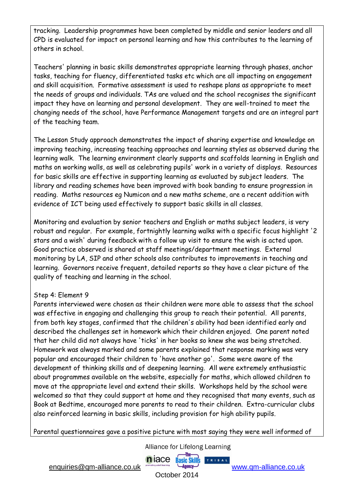tracking. Leadership programmes have been completed by middle and senior leaders and all CPD is evaluated for impact on personal learning and how this contributes to the learning of others in school.

Teachers' planning in basic skills demonstrates appropriate learning through phases, anchor tasks, teaching for fluency, differentiated tasks etc which are all impacting on engagement and skill acquisition. Formative assessment is used to reshape plans as appropriate to meet the needs of groups and individuals. TAs are valued and the school recognises the significant impact they have on learning and personal development. They are well-trained to meet the changing needs of the school, have Performance Management targets and are an integral part of the teaching team.

The Lesson Study approach demonstrates the impact of sharing expertise and knowledge on improving teaching, increasing teaching approaches and learning styles as observed during the learning walk. The learning environment clearly supports and scaffolds learning in English and maths on working walls, as well as celebrating pupils' work in a variety of displays. Resources for basic skills are effective in supporting learning as evaluated by subject leaders. The library and reading schemes have been improved with book banding to ensure progression in reading. Maths resources eg Numicon and a new maths scheme, are a recent addition with evidence of ICT being used effectively to support basic skills in all classes.

Monitoring and evaluation by senior teachers and English or maths subject leaders, is very robust and regular. For example, fortnightly learning walks with a specific focus highlight '2 stars and a wish' during feedback with a follow up visit to ensure the wish is acted upon. Good practice observed is shared at staff meetings/department meetings. External monitoring by LA, SIP and other schools also contributes to improvements in teaching and learning. Governors receive frequent, detailed reports so they have a clear picture of the quality of teaching and learning in the school.

#### Step 4: Element 9

Parents interviewed were chosen as their children were more able to assess that the school was effective in engaging and challenging this group to reach their potential. All parents, from both key stages, confirmed that the children's ability had been identified early and described the challenges set in homework which their children enjoyed. One parent noted that her child did not always have 'ticks' in her books so knew she was being stretched. Homework was always marked and some parents explained that response marking was very popular and encouraged their children to 'have another go'. Some were aware of the development of thinking skills and of deepening learning. All were extremely enthusiastic about programmes available on the website, especially for maths, which allowed children to move at the appropriate level and extend their skills. Workshops held by the school were welcomed so that they could support at home and they recognised that many events, such as Book at Bedtime, encouraged more parents to read to their children. Extra-curricular clubs also reinforced learning in basic skills, including provision for high ability pupils.

Parental questionnaires gave a positive picture with most saying they were well informed of

**n** jace

Alliance for Lifelong Learning

**Basic Skills** 

TRIBAL

[enquiries@qm-alliance.co.uk](mailto:enquiries@qm-alliance.co.uk) [www.qm-alliance.co.uk](http://www.qm-alliance.co.uk/) 

October 2014